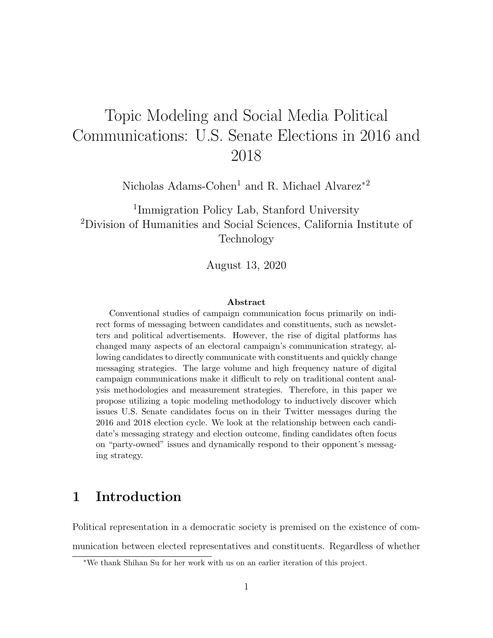# Topic Modeling and Social Media Political Communications: U.S. Senate Elections in 2016 and 2018

Nicholas Adams-Cohen<sup>1</sup> and R. Michael Alvarez<sup>\*2</sup>

<sup>1</sup>Immigration Policy Lab, Stanford University <sup>2</sup>Division of Humanities and Social Sciences, California Institute of Technology

August 13, 2020

### Abstract

Conventional studies of campaign communication focus primarily on indirect forms of messaging between candidates and constituents, such as newsletters and political advertisements. However, the rise of digital platforms has changed many aspects of an electoral campaign's communication strategy, allowing candidates to directly communicate with constituents and quickly change messaging strategies. The large volume and high frequency nature of digital campaign communications make it difficult to rely on traditional content analysis methodologies and measurement strategies. Therefore, in this paper we propose utilizing a topic modeling methodology to inductively discover which issues U.S. Senate candidates focus on in their Twitter messages during the 2016 and 2018 election cycle. We look at the relationship between each candidate's messaging strategy and election outcome, finding candidates often focus on "party-owned" issues and dynamically respond to their opponent's messaging strategy.

## 1 Introduction

Political representation in a democratic society is premised on the existence of communication between elected representatives and constituents. Regardless of whether

<sup>∗</sup>We thank Shihan Su for her work with us on an earlier iteration of this project.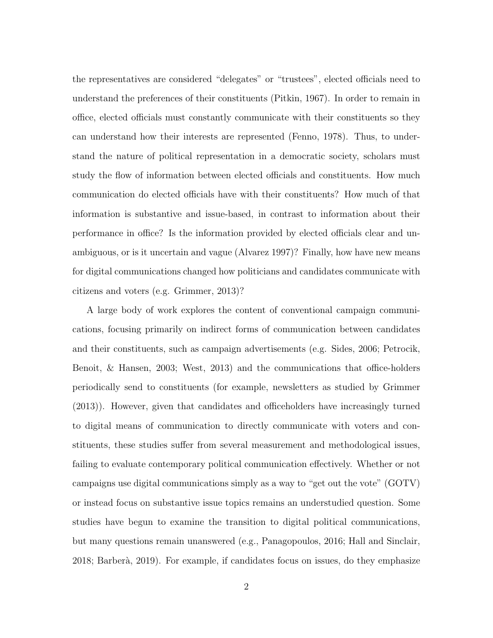the representatives are considered "delegates" or "trustees", elected officials need to understand the preferences of their constituents (Pitkin, 1967). In order to remain in office, elected officials must constantly communicate with their constituents so they can understand how their interests are represented (Fenno, 1978). Thus, to understand the nature of political representation in a democratic society, scholars must study the flow of information between elected officials and constituents. How much communication do elected officials have with their constituents? How much of that information is substantive and issue-based, in contrast to information about their performance in office? Is the information provided by elected officials clear and unambiguous, or is it uncertain and vague (Alvarez 1997)? Finally, how have new means for digital communications changed how politicians and candidates communicate with citizens and voters (e.g. Grimmer, 2013)?

A large body of work explores the content of conventional campaign communications, focusing primarily on indirect forms of communication between candidates and their constituents, such as campaign advertisements (e.g. Sides, 2006; Petrocik, Benoit, & Hansen, 2003; West, 2013) and the communications that office-holders periodically send to constituents (for example, newsletters as studied by Grimmer (2013)). However, given that candidates and officeholders have increasingly turned to digital means of communication to directly communicate with voters and constituents, these studies suffer from several measurement and methodological issues, failing to evaluate contemporary political communication effectively. Whether or not campaigns use digital communications simply as a way to "get out the vote" (GOTV) or instead focus on substantive issue topics remains an understudied question. Some studies have begun to examine the transition to digital political communications, but many questions remain unanswered (e.g., Panagopoulos, 2016; Hall and Sinclair, 2018; Barber`a, 2019). For example, if candidates focus on issues, do they emphasize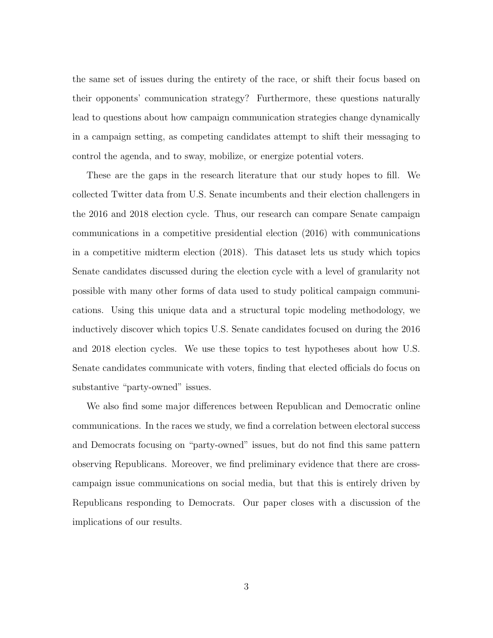the same set of issues during the entirety of the race, or shift their focus based on their opponents' communication strategy? Furthermore, these questions naturally lead to questions about how campaign communication strategies change dynamically in a campaign setting, as competing candidates attempt to shift their messaging to control the agenda, and to sway, mobilize, or energize potential voters.

These are the gaps in the research literature that our study hopes to fill. We collected Twitter data from U.S. Senate incumbents and their election challengers in the 2016 and 2018 election cycle. Thus, our research can compare Senate campaign communications in a competitive presidential election (2016) with communications in a competitive midterm election (2018). This dataset lets us study which topics Senate candidates discussed during the election cycle with a level of granularity not possible with many other forms of data used to study political campaign communications. Using this unique data and a structural topic modeling methodology, we inductively discover which topics U.S. Senate candidates focused on during the 2016 and 2018 election cycles. We use these topics to test hypotheses about how U.S. Senate candidates communicate with voters, finding that elected officials do focus on substantive "party-owned" issues.

We also find some major differences between Republican and Democratic online communications. In the races we study, we find a correlation between electoral success and Democrats focusing on "party-owned" issues, but do not find this same pattern observing Republicans. Moreover, we find preliminary evidence that there are crosscampaign issue communications on social media, but that this is entirely driven by Republicans responding to Democrats. Our paper closes with a discussion of the implications of our results.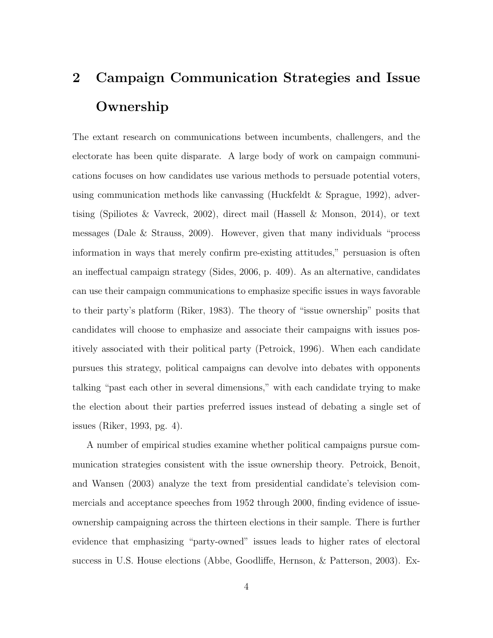# 2 Campaign Communication Strategies and Issue Ownership

The extant research on communications between incumbents, challengers, and the electorate has been quite disparate. A large body of work on campaign communications focuses on how candidates use various methods to persuade potential voters, using communication methods like canvassing (Huckfeldt & Sprague, 1992), advertising (Spiliotes & Vavreck, 2002), direct mail (Hassell & Monson, 2014), or text messages (Dale & Strauss, 2009). However, given that many individuals "process information in ways that merely confirm pre-existing attitudes," persuasion is often an ineffectual campaign strategy (Sides, 2006, p. 409). As an alternative, candidates can use their campaign communications to emphasize specific issues in ways favorable to their party's platform (Riker, 1983). The theory of "issue ownership" posits that candidates will choose to emphasize and associate their campaigns with issues positively associated with their political party (Petroick, 1996). When each candidate pursues this strategy, political campaigns can devolve into debates with opponents talking "past each other in several dimensions," with each candidate trying to make the election about their parties preferred issues instead of debating a single set of issues (Riker, 1993, pg. 4).

A number of empirical studies examine whether political campaigns pursue communication strategies consistent with the issue ownership theory. Petroick, Benoit, and Wansen (2003) analyze the text from presidential candidate's television commercials and acceptance speeches from 1952 through 2000, finding evidence of issueownership campaigning across the thirteen elections in their sample. There is further evidence that emphasizing "party-owned" issues leads to higher rates of electoral success in U.S. House elections (Abbe, Goodliffe, Hernson, & Patterson, 2003). Ex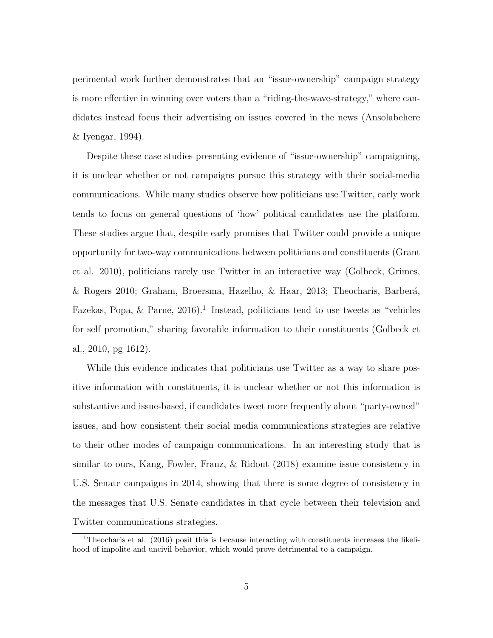perimental work further demonstrates that an "issue-ownership" campaign strategy is more effective in winning over voters than a "riding-the-wave-strategy," where candidates instead focus their advertising on issues covered in the news (Ansolabehere & Iyengar, 1994).

Despite these case studies presenting evidence of "issue-ownership" campaigning, it is unclear whether or not campaigns pursue this strategy with their social-media communications. While many studies observe how politicians use Twitter, early work tends to focus on general questions of 'how' political candidates use the platform. These studies argue that, despite early promises that Twitter could provide a unique opportunity for two-way communications between politicians and constituents (Grant et al. 2010), politicians rarely use Twitter in an interactive way (Golbeck, Grimes,  $\&$  Rogers 2010; Graham, Broersma, Hazelho,  $\&$  Haar, 2013; Theocharis, Barberá, Fazekas, Popa,  $\&$  Parne, 2016).<sup>1</sup> Instead, politicians tend to use tweets as "vehicles for self promotion," sharing favorable information to their constituents (Golbeck et al., 2010, pg 1612).

While this evidence indicates that politicians use Twitter as a way to share positive information with constituents, it is unclear whether or not this information is substantive and issue-based, if candidates tweet more frequently about "party-owned" issues, and how consistent their social media communications strategies are relative to their other modes of campaign communications. In an interesting study that is similar to ours, Kang, Fowler, Franz, & Ridout (2018) examine issue consistency in U.S. Senate campaigns in 2014, showing that there is some degree of consistency in the messages that U.S. Senate candidates in that cycle between their television and Twitter communications strategies.

<sup>1</sup>Theocharis et al. (2016) posit this is because interacting with constituents increases the likelihood of impolite and uncivil behavior, which would prove detrimental to a campaign.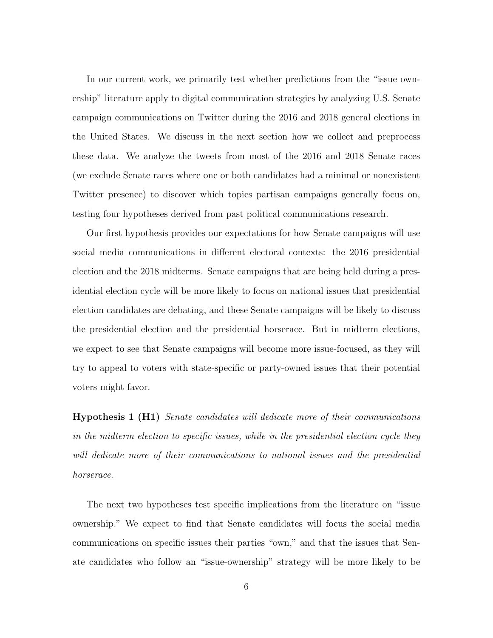In our current work, we primarily test whether predictions from the "issue ownership" literature apply to digital communication strategies by analyzing U.S. Senate campaign communications on Twitter during the 2016 and 2018 general elections in the United States. We discuss in the next section how we collect and preprocess these data. We analyze the tweets from most of the 2016 and 2018 Senate races (we exclude Senate races where one or both candidates had a minimal or nonexistent Twitter presence) to discover which topics partisan campaigns generally focus on, testing four hypotheses derived from past political communications research.

Our first hypothesis provides our expectations for how Senate campaigns will use social media communications in different electoral contexts: the 2016 presidential election and the 2018 midterms. Senate campaigns that are being held during a presidential election cycle will be more likely to focus on national issues that presidential election candidates are debating, and these Senate campaigns will be likely to discuss the presidential election and the presidential horserace. But in midterm elections, we expect to see that Senate campaigns will become more issue-focused, as they will try to appeal to voters with state-specific or party-owned issues that their potential voters might favor.

Hypothesis 1 (H1) Senate candidates will dedicate more of their communications in the midterm election to specific issues, while in the presidential election cycle they will dedicate more of their communications to national issues and the presidential horserace.

The next two hypotheses test specific implications from the literature on "issue ownership." We expect to find that Senate candidates will focus the social media communications on specific issues their parties "own," and that the issues that Senate candidates who follow an "issue-ownership" strategy will be more likely to be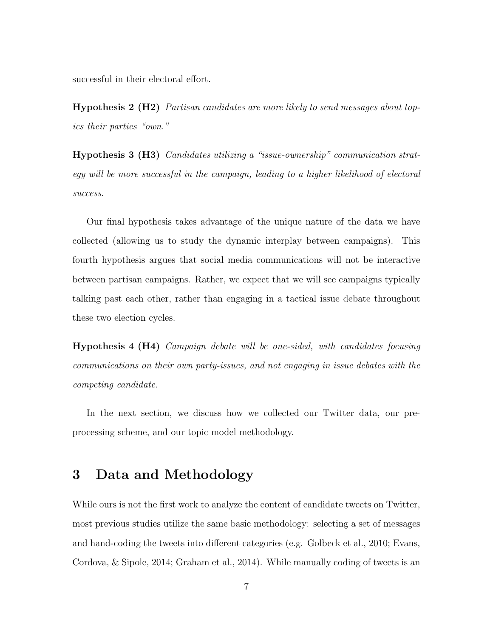successful in their electoral effort.

**Hypothesis 2 (H2)** Partisan candidates are more likely to send messages about topics their parties "own."

Hypothesis 3 (H3) Candidates utilizing a "issue-ownership" communication strategy will be more successful in the campaign, leading to a higher likelihood of electoral success.

Our final hypothesis takes advantage of the unique nature of the data we have collected (allowing us to study the dynamic interplay between campaigns). This fourth hypothesis argues that social media communications will not be interactive between partisan campaigns. Rather, we expect that we will see campaigns typically talking past each other, rather than engaging in a tactical issue debate throughout these two election cycles.

Hypothesis 4 (H4) Campaign debate will be one-sided, with candidates focusing communications on their own party-issues, and not engaging in issue debates with the competing candidate.

In the next section, we discuss how we collected our Twitter data, our preprocessing scheme, and our topic model methodology.

## 3 Data and Methodology

While ours is not the first work to analyze the content of candidate tweets on Twitter, most previous studies utilize the same basic methodology: selecting a set of messages and hand-coding the tweets into different categories (e.g. Golbeck et al., 2010; Evans, Cordova, & Sipole, 2014; Graham et al., 2014). While manually coding of tweets is an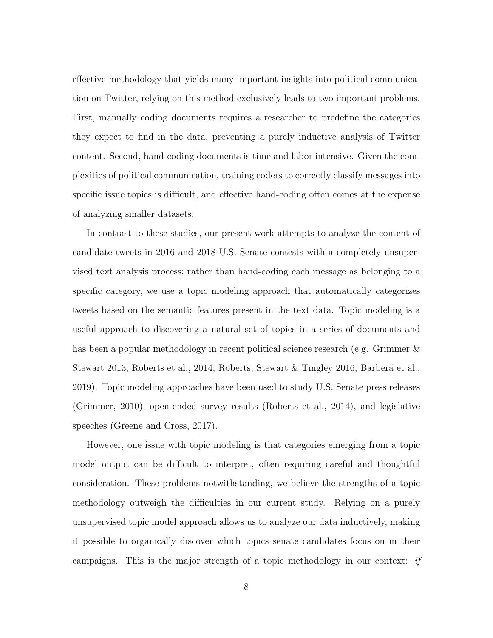effective methodology that yields many important insights into political communication on Twitter, relying on this method exclusively leads to two important problems. First, manually coding documents requires a researcher to predefine the categories they expect to find in the data, preventing a purely inductive analysis of Twitter content. Second, hand-coding documents is time and labor intensive. Given the complexities of political communication, training coders to correctly classify messages into specific issue topics is difficult, and effective hand-coding often comes at the expense of analyzing smaller datasets.

In contrast to these studies, our present work attempts to analyze the content of candidate tweets in 2016 and 2018 U.S. Senate contests with a completely unsupervised text analysis process; rather than hand-coding each message as belonging to a specific category, we use a topic modeling approach that automatically categorizes tweets based on the semantic features present in the text data. Topic modeling is a useful approach to discovering a natural set of topics in a series of documents and has been a popular methodology in recent political science research (e.g. Grimmer & Stewart 2013; Roberts et al., 2014; Roberts, Stewart & Tingley 2016; Barberá et al., 2019). Topic modeling approaches have been used to study U.S. Senate press releases (Grimmer, 2010), open-ended survey results (Roberts et al., 2014), and legislative speeches (Greene and Cross, 2017).

However, one issue with topic modeling is that categories emerging from a topic model output can be difficult to interpret, often requiring careful and thoughtful consideration. These problems notwithstanding, we believe the strengths of a topic methodology outweigh the difficulties in our current study. Relying on a purely unsupervised topic model approach allows us to analyze our data inductively, making it possible to organically discover which topics senate candidates focus on in their campaigns. This is the major strength of a topic methodology in our context: if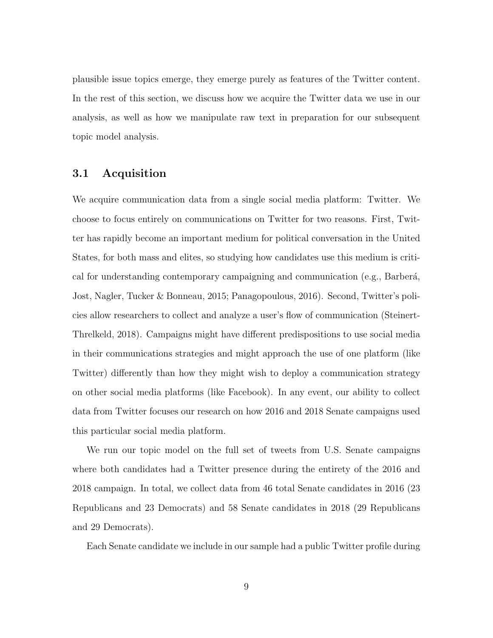plausible issue topics emerge, they emerge purely as features of the Twitter content. In the rest of this section, we discuss how we acquire the Twitter data we use in our analysis, as well as how we manipulate raw text in preparation for our subsequent topic model analysis.

### 3.1 Acquisition

We acquire communication data from a single social media platform: Twitter. We choose to focus entirely on communications on Twitter for two reasons. First, Twitter has rapidly become an important medium for political conversation in the United States, for both mass and elites, so studying how candidates use this medium is critical for understanding contemporary campaigning and communication (e.g., Barberá, Jost, Nagler, Tucker & Bonneau, 2015; Panagopoulous, 2016). Second, Twitter's policies allow researchers to collect and analyze a user's flow of communication (Steinert-Threlkeld, 2018). Campaigns might have different predispositions to use social media in their communications strategies and might approach the use of one platform (like Twitter) differently than how they might wish to deploy a communication strategy on other social media platforms (like Facebook). In any event, our ability to collect data from Twitter focuses our research on how 2016 and 2018 Senate campaigns used this particular social media platform.

We run our topic model on the full set of tweets from U.S. Senate campaigns where both candidates had a Twitter presence during the entirety of the 2016 and 2018 campaign. In total, we collect data from 46 total Senate candidates in 2016 (23 Republicans and 23 Democrats) and 58 Senate candidates in 2018 (29 Republicans and 29 Democrats).

Each Senate candidate we include in our sample had a public Twitter profile during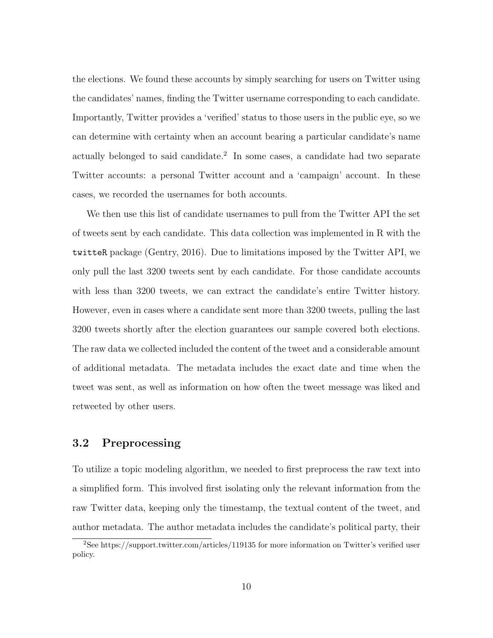the elections. We found these accounts by simply searching for users on Twitter using the candidates' names, finding the Twitter username corresponding to each candidate. Importantly, Twitter provides a 'verified' status to those users in the public eye, so we can determine with certainty when an account bearing a particular candidate's name actually belonged to said candidate.<sup>2</sup> In some cases, a candidate had two separate Twitter accounts: a personal Twitter account and a 'campaign' account. In these cases, we recorded the usernames for both accounts.

We then use this list of candidate usernames to pull from the Twitter API the set of tweets sent by each candidate. This data collection was implemented in R with the twitteR package (Gentry, 2016). Due to limitations imposed by the Twitter API, we only pull the last 3200 tweets sent by each candidate. For those candidate accounts with less than 3200 tweets, we can extract the candidate's entire Twitter history. However, even in cases where a candidate sent more than 3200 tweets, pulling the last 3200 tweets shortly after the election guarantees our sample covered both elections. The raw data we collected included the content of the tweet and a considerable amount of additional metadata. The metadata includes the exact date and time when the tweet was sent, as well as information on how often the tweet message was liked and retweeted by other users.

## 3.2 Preprocessing

To utilize a topic modeling algorithm, we needed to first preprocess the raw text into a simplified form. This involved first isolating only the relevant information from the raw Twitter data, keeping only the timestamp, the textual content of the tweet, and author metadata. The author metadata includes the candidate's political party, their

<sup>2</sup>See https://support.twitter.com/articles/119135 for more information on Twitter's verified user policy.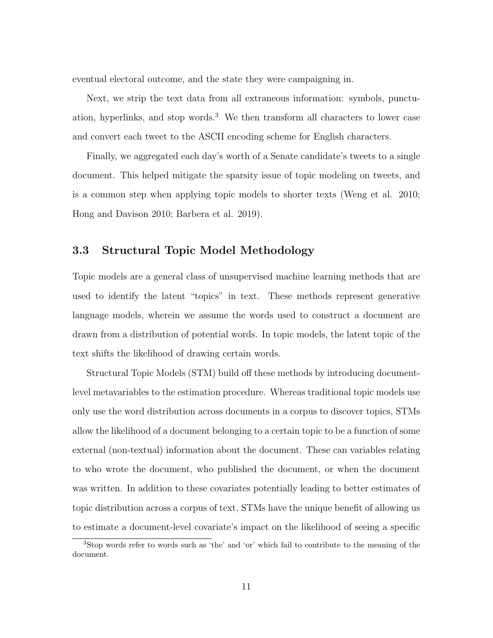eventual electoral outcome, and the state they were campaigning in.

Next, we strip the text data from all extraneous information: symbols, punctuation, hyperlinks, and stop words.<sup>3</sup> We then transform all characters to lower case and convert each tweet to the ASCII encoding scheme for English characters.

Finally, we aggregated each day's worth of a Senate candidate's tweets to a single document. This helped mitigate the sparsity issue of topic modeling on tweets, and is a common step when applying topic models to shorter texts (Weng et al. 2010; Hong and Davison 2010; Barbera et al. 2019).

## 3.3 Structural Topic Model Methodology

Topic models are a general class of unsupervised machine learning methods that are used to identify the latent "topics" in text. These methods represent generative language models, wherein we assume the words used to construct a document are drawn from a distribution of potential words. In topic models, the latent topic of the text shifts the likelihood of drawing certain words.

Structural Topic Models (STM) build off these methods by introducing documentlevel metavariables to the estimation procedure. Whereas traditional topic models use only use the word distribution across documents in a corpus to discover topics, STMs allow the likelihood of a document belonging to a certain topic to be a function of some external (non-textual) information about the document. These can variables relating to who wrote the document, who published the document, or when the document was written. In addition to these covariates potentially leading to better estimates of topic distribution across a corpus of text, STMs have the unique benefit of allowing us to estimate a document-level covariate's impact on the likelihood of seeing a specific

<sup>3</sup>Stop words refer to words such as 'the' and 'or' which fail to contribute to the meaning of the document.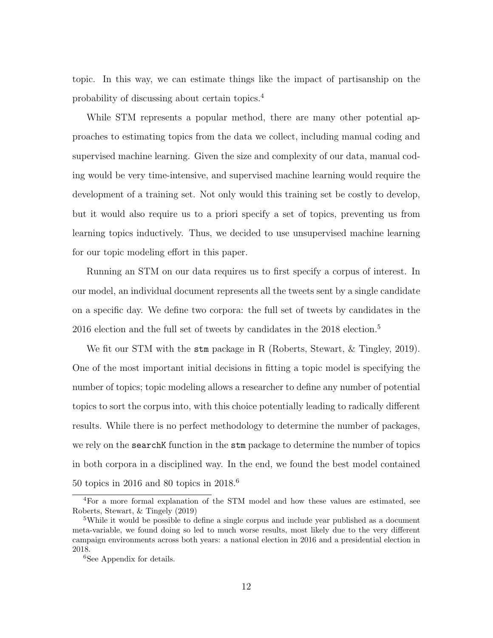topic. In this way, we can estimate things like the impact of partisanship on the probability of discussing about certain topics.<sup>4</sup>

While STM represents a popular method, there are many other potential approaches to estimating topics from the data we collect, including manual coding and supervised machine learning. Given the size and complexity of our data, manual coding would be very time-intensive, and supervised machine learning would require the development of a training set. Not only would this training set be costly to develop, but it would also require us to a priori specify a set of topics, preventing us from learning topics inductively. Thus, we decided to use unsupervised machine learning for our topic modeling effort in this paper.

Running an STM on our data requires us to first specify a corpus of interest. In our model, an individual document represents all the tweets sent by a single candidate on a specific day. We define two corpora: the full set of tweets by candidates in the 2016 election and the full set of tweets by candidates in the 2018 election.<sup>5</sup>

We fit our STM with the stm package in R (Roberts, Stewart, & Tingley, 2019). One of the most important initial decisions in fitting a topic model is specifying the number of topics; topic modeling allows a researcher to define any number of potential topics to sort the corpus into, with this choice potentially leading to radically different results. While there is no perfect methodology to determine the number of packages, we rely on the **search**K function in the **stm** package to determine the number of topics in both corpora in a disciplined way. In the end, we found the best model contained 50 topics in 2016 and 80 topics in 2018.<sup>6</sup>

<sup>4</sup>For a more formal explanation of the STM model and how these values are estimated, see Roberts, Stewart, & Tingely (2019)

<sup>&</sup>lt;sup>5</sup>While it would be possible to define a single corpus and include year published as a document meta-variable, we found doing so led to much worse results, most likely due to the very different campaign environments across both years: a national election in 2016 and a presidential election in 2018.

<sup>&</sup>lt;sup>6</sup>See Appendix for details.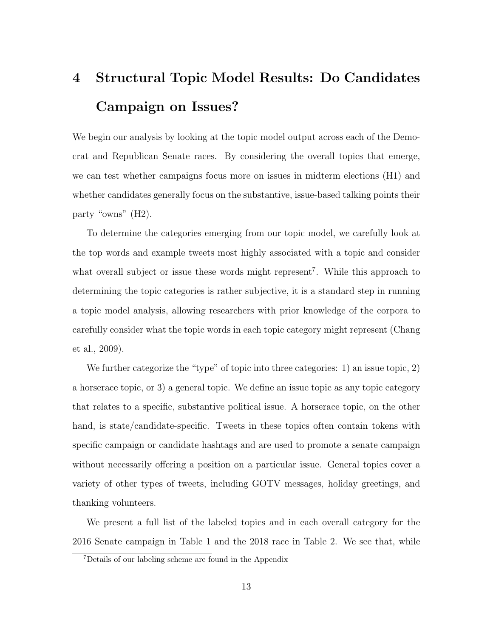# 4 Structural Topic Model Results: Do Candidates Campaign on Issues?

We begin our analysis by looking at the topic model output across each of the Democrat and Republican Senate races. By considering the overall topics that emerge, we can test whether campaigns focus more on issues in midterm elections (H1) and whether candidates generally focus on the substantive, issue-based talking points their party "owns" (H2).

To determine the categories emerging from our topic model, we carefully look at the top words and example tweets most highly associated with a topic and consider what overall subject or issue these words might represent<sup>7</sup>. While this approach to determining the topic categories is rather subjective, it is a standard step in running a topic model analysis, allowing researchers with prior knowledge of the corpora to carefully consider what the topic words in each topic category might represent (Chang et al., 2009).

We further categorize the "type" of topic into three categories: 1) an issue topic, 2) a horserace topic, or 3) a general topic. We define an issue topic as any topic category that relates to a specific, substantive political issue. A horserace topic, on the other hand, is state/candidate-specific. Tweets in these topics often contain tokens with specific campaign or candidate hashtags and are used to promote a senate campaign without necessarily offering a position on a particular issue. General topics cover a variety of other types of tweets, including GOTV messages, holiday greetings, and thanking volunteers.

We present a full list of the labeled topics and in each overall category for the 2016 Senate campaign in Table 1 and the 2018 race in Table 2. We see that, while

<sup>7</sup>Details of our labeling scheme are found in the Appendix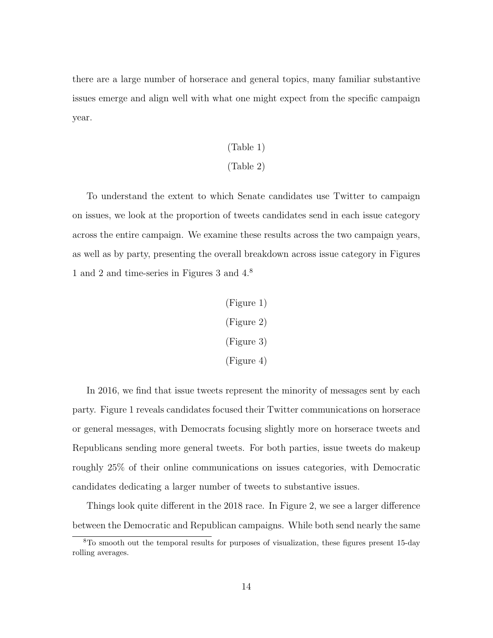there are a large number of horserace and general topics, many familiar substantive issues emerge and align well with what one might expect from the specific campaign year.

## (Table 1)

#### (Table 2)

To understand the extent to which Senate candidates use Twitter to campaign on issues, we look at the proportion of tweets candidates send in each issue category across the entire campaign. We examine these results across the two campaign years, as well as by party, presenting the overall breakdown across issue category in Figures 1 and 2 and time-series in Figures 3 and 4.<sup>8</sup>

> (Figure 1) (Figure 2) (Figure 3) (Figure 4)

In 2016, we find that issue tweets represent the minority of messages sent by each party. Figure 1 reveals candidates focused their Twitter communications on horserace or general messages, with Democrats focusing slightly more on horserace tweets and Republicans sending more general tweets. For both parties, issue tweets do makeup roughly 25% of their online communications on issues categories, with Democratic candidates dedicating a larger number of tweets to substantive issues.

Things look quite different in the 2018 race. In Figure 2, we see a larger difference between the Democratic and Republican campaigns. While both send nearly the same

<sup>8</sup>To smooth out the temporal results for purposes of visualization, these figures present 15-day rolling averages.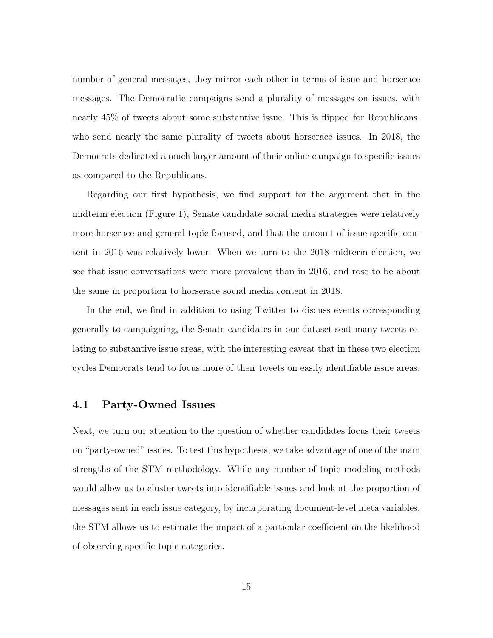number of general messages, they mirror each other in terms of issue and horserace messages. The Democratic campaigns send a plurality of messages on issues, with nearly 45% of tweets about some substantive issue. This is flipped for Republicans, who send nearly the same plurality of tweets about horserace issues. In 2018, the Democrats dedicated a much larger amount of their online campaign to specific issues as compared to the Republicans.

Regarding our first hypothesis, we find support for the argument that in the midterm election (Figure 1), Senate candidate social media strategies were relatively more horserace and general topic focused, and that the amount of issue-specific content in 2016 was relatively lower. When we turn to the 2018 midterm election, we see that issue conversations were more prevalent than in 2016, and rose to be about the same in proportion to horserace social media content in 2018.

In the end, we find in addition to using Twitter to discuss events corresponding generally to campaigning, the Senate candidates in our dataset sent many tweets relating to substantive issue areas, with the interesting caveat that in these two election cycles Democrats tend to focus more of their tweets on easily identifiable issue areas.

### 4.1 Party-Owned Issues

Next, we turn our attention to the question of whether candidates focus their tweets on "party-owned" issues. To test this hypothesis, we take advantage of one of the main strengths of the STM methodology. While any number of topic modeling methods would allow us to cluster tweets into identifiable issues and look at the proportion of messages sent in each issue category, by incorporating document-level meta variables, the STM allows us to estimate the impact of a particular coefficient on the likelihood of observing specific topic categories.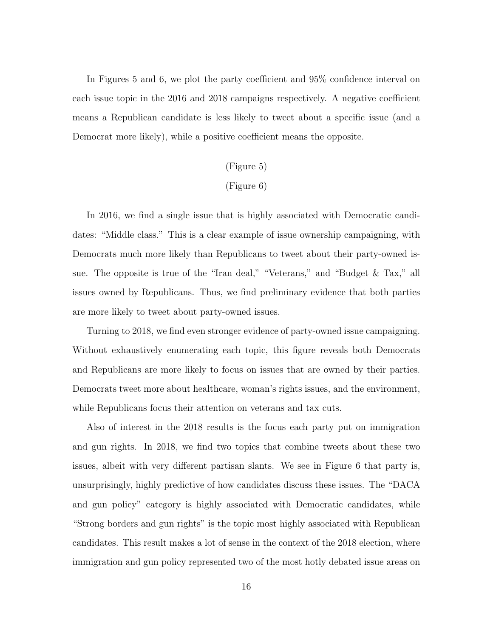In Figures 5 and 6, we plot the party coefficient and 95% confidence interval on each issue topic in the 2016 and 2018 campaigns respectively. A negative coefficient means a Republican candidate is less likely to tweet about a specific issue (and a Democrat more likely), while a positive coefficient means the opposite.

## (Figure 5)

### (Figure 6)

In 2016, we find a single issue that is highly associated with Democratic candidates: "Middle class." This is a clear example of issue ownership campaigning, with Democrats much more likely than Republicans to tweet about their party-owned issue. The opposite is true of the "Iran deal," "Veterans," and "Budget & Tax," all issues owned by Republicans. Thus, we find preliminary evidence that both parties are more likely to tweet about party-owned issues.

Turning to 2018, we find even stronger evidence of party-owned issue campaigning. Without exhaustively enumerating each topic, this figure reveals both Democrats and Republicans are more likely to focus on issues that are owned by their parties. Democrats tweet more about healthcare, woman's rights issues, and the environment, while Republicans focus their attention on veterans and tax cuts.

Also of interest in the 2018 results is the focus each party put on immigration and gun rights. In 2018, we find two topics that combine tweets about these two issues, albeit with very different partisan slants. We see in Figure 6 that party is, unsurprisingly, highly predictive of how candidates discuss these issues. The "DACA and gun policy" category is highly associated with Democratic candidates, while "Strong borders and gun rights" is the topic most highly associated with Republican candidates. This result makes a lot of sense in the context of the 2018 election, where immigration and gun policy represented two of the most hotly debated issue areas on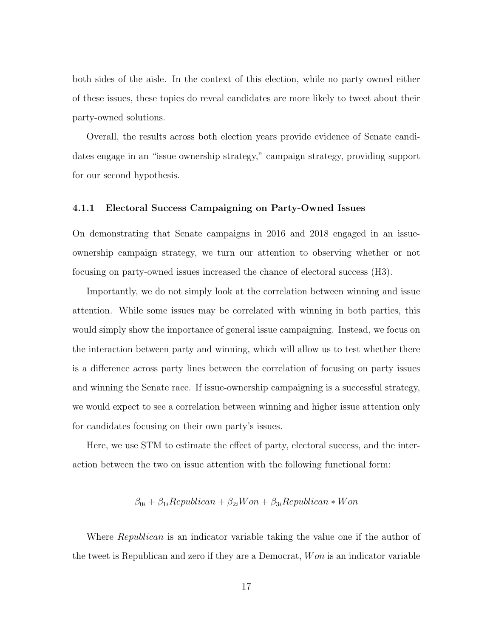both sides of the aisle. In the context of this election, while no party owned either of these issues, these topics do reveal candidates are more likely to tweet about their party-owned solutions.

Overall, the results across both election years provide evidence of Senate candidates engage in an "issue ownership strategy," campaign strategy, providing support for our second hypothesis.

#### 4.1.1 Electoral Success Campaigning on Party-Owned Issues

On demonstrating that Senate campaigns in 2016 and 2018 engaged in an issueownership campaign strategy, we turn our attention to observing whether or not focusing on party-owned issues increased the chance of electoral success (H3).

Importantly, we do not simply look at the correlation between winning and issue attention. While some issues may be correlated with winning in both parties, this would simply show the importance of general issue campaigning. Instead, we focus on the interaction between party and winning, which will allow us to test whether there is a difference across party lines between the correlation of focusing on party issues and winning the Senate race. If issue-ownership campaigning is a successful strategy, we would expect to see a correlation between winning and higher issue attention only for candidates focusing on their own party's issues.

Here, we use STM to estimate the effect of party, electoral success, and the interaction between the two on issue attention with the following functional form:

$$
\beta_{0i} + \beta_{1i} Republican + \beta_{2i}Won + \beta_{3i} Republican * Won
$$

Where *Republican* is an indicator variable taking the value one if the author of the tweet is Republican and zero if they are a Democrat, W on is an indicator variable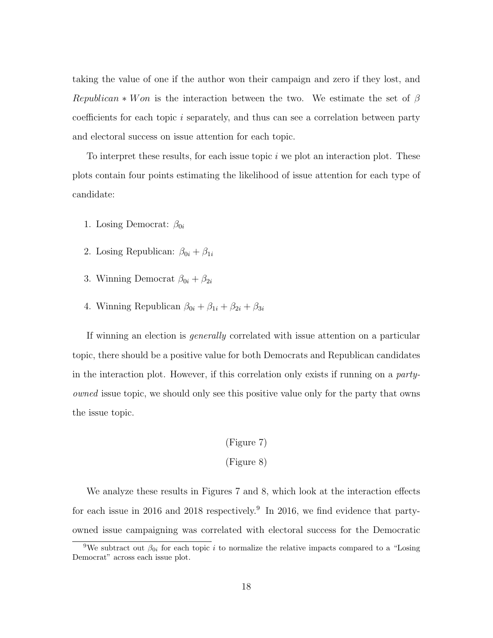taking the value of one if the author won their campaign and zero if they lost, and Republican  $*$  W on is the interaction between the two. We estimate the set of  $\beta$ coefficients for each topic i separately, and thus can see a correlation between party and electoral success on issue attention for each topic.

To interpret these results, for each issue topic  $i$  we plot an interaction plot. These plots contain four points estimating the likelihood of issue attention for each type of candidate:

- 1. Losing Democrat:  $\beta_{0i}$
- 2. Losing Republican:  $\beta_{0i} + \beta_{1i}$
- 3. Winning Democrat  $\beta_{0i} + \beta_{2i}$
- 4. Winning Republican  $\beta_{0i} + \beta_{1i} + \beta_{2i} + \beta_{3i}$

If winning an election is generally correlated with issue attention on a particular topic, there should be a positive value for both Democrats and Republican candidates in the interaction plot. However, if this correlation only exists if running on a partyowned issue topic, we should only see this positive value only for the party that owns the issue topic.

### (Figure 7)

#### (Figure 8)

We analyze these results in Figures 7 and 8, which look at the interaction effects for each issue in 2016 and 2018 respectively.<sup>9</sup> In 2016, we find evidence that partyowned issue campaigning was correlated with electoral success for the Democratic

<sup>&</sup>lt;sup>9</sup>We subtract out  $\beta_{0i}$  for each topic *i* to normalize the relative impacts compared to a "Losing" Democrat" across each issue plot.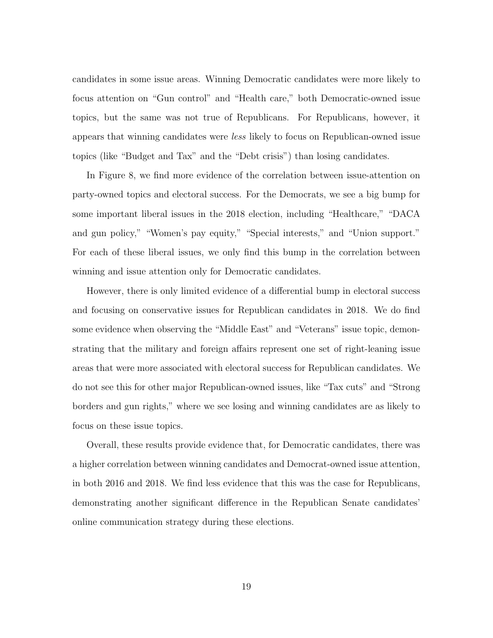candidates in some issue areas. Winning Democratic candidates were more likely to focus attention on "Gun control" and "Health care," both Democratic-owned issue topics, but the same was not true of Republicans. For Republicans, however, it appears that winning candidates were less likely to focus on Republican-owned issue topics (like "Budget and Tax" and the "Debt crisis") than losing candidates.

In Figure 8, we find more evidence of the correlation between issue-attention on party-owned topics and electoral success. For the Democrats, we see a big bump for some important liberal issues in the 2018 election, including "Healthcare," "DACA and gun policy," "Women's pay equity," "Special interests," and "Union support." For each of these liberal issues, we only find this bump in the correlation between winning and issue attention only for Democratic candidates.

However, there is only limited evidence of a differential bump in electoral success and focusing on conservative issues for Republican candidates in 2018. We do find some evidence when observing the "Middle East" and "Veterans" issue topic, demonstrating that the military and foreign affairs represent one set of right-leaning issue areas that were more associated with electoral success for Republican candidates. We do not see this for other major Republican-owned issues, like "Tax cuts" and "Strong borders and gun rights," where we see losing and winning candidates are as likely to focus on these issue topics.

Overall, these results provide evidence that, for Democratic candidates, there was a higher correlation between winning candidates and Democrat-owned issue attention, in both 2016 and 2018. We find less evidence that this was the case for Republicans, demonstrating another significant difference in the Republican Senate candidates' online communication strategy during these elections.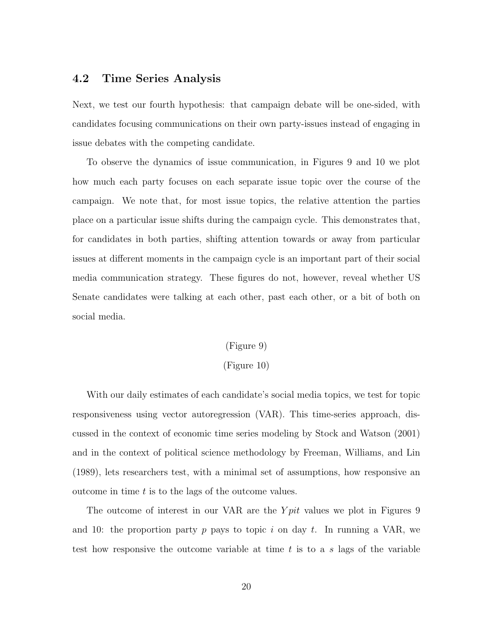## 4.2 Time Series Analysis

Next, we test our fourth hypothesis: that campaign debate will be one-sided, with candidates focusing communications on their own party-issues instead of engaging in issue debates with the competing candidate.

To observe the dynamics of issue communication, in Figures 9 and 10 we plot how much each party focuses on each separate issue topic over the course of the campaign. We note that, for most issue topics, the relative attention the parties place on a particular issue shifts during the campaign cycle. This demonstrates that, for candidates in both parties, shifting attention towards or away from particular issues at different moments in the campaign cycle is an important part of their social media communication strategy. These figures do not, however, reveal whether US Senate candidates were talking at each other, past each other, or a bit of both on social media.

#### (Figure 9)

#### (Figure 10)

With our daily estimates of each candidate's social media topics, we test for topic responsiveness using vector autoregression (VAR). This time-series approach, discussed in the context of economic time series modeling by Stock and Watson (2001) and in the context of political science methodology by Freeman, Williams, and Lin (1989), lets researchers test, with a minimal set of assumptions, how responsive an outcome in time  $t$  is to the lags of the outcome values.

The outcome of interest in our VAR are the  $Ypit$  values we plot in Figures 9 and 10: the proportion party p pays to topic i on day t. In running a VAR, we test how responsive the outcome variable at time  $t$  is to a s lags of the variable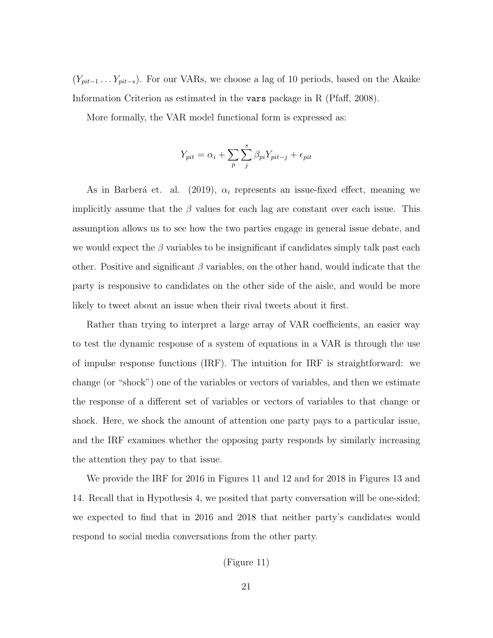$(Y_{pit-1} \ldots Y_{pit-s})$ . For our VARs, we choose a lag of 10 periods, based on the Akaike Information Criterion as estimated in the vars package in R (Pfaff, 2008).

More formally, the VAR model functional form is expressed as:

$$
Y_{pit} = \alpha_i + \sum_{p} \sum_{j}^{s} \beta_{pi} Y_{pit-j} + \epsilon_{pit}
$$

As in Barberá et. al. (2019),  $\alpha_i$  represents an issue-fixed effect, meaning we implicitly assume that the  $\beta$  values for each lag are constant over each issue. This assumption allows us to see how the two parties engage in general issue debate, and we would expect the  $\beta$  variables to be insignificant if candidates simply talk past each other. Positive and significant  $\beta$  variables, on the other hand, would indicate that the party is responsive to candidates on the other side of the aisle, and would be more likely to tweet about an issue when their rival tweets about it first.

Rather than trying to interpret a large array of VAR coefficients, an easier way to test the dynamic response of a system of equations in a VAR is through the use of impulse response functions (IRF). The intuition for IRF is straightforward: we change (or "shock") one of the variables or vectors of variables, and then we estimate the response of a different set of variables or vectors of variables to that change or shock. Here, we shock the amount of attention one party pays to a particular issue, and the IRF examines whether the opposing party responds by similarly increasing the attention they pay to that issue.

We provide the IRF for 2016 in Figures 11 and 12 and for 2018 in Figures 13 and 14. Recall that in Hypothesis 4, we posited that party conversation will be one-sided; we expected to find that in 2016 and 2018 that neither party's candidates would respond to social media conversations from the other party.

#### (Figure 11)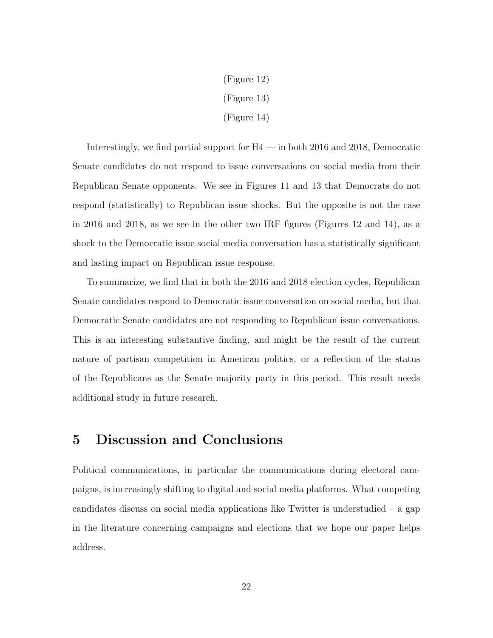(Figure 12) (Figure 13) (Figure 14)

Interestingly, we find partial support for H4 — in both 2016 and 2018, Democratic Senate candidates do not respond to issue conversations on social media from their Republican Senate opponents. We see in Figures 11 and 13 that Democrats do not respond (statistically) to Republican issue shocks. But the opposite is not the case in 2016 and 2018, as we see in the other two IRF figures (Figures 12 and 14), as a shock to the Democratic issue social media conversation has a statistically significant and lasting impact on Republican issue response.

To summarize, we find that in both the 2016 and 2018 election cycles, Republican Senate candidates respond to Democratic issue conversation on social media, but that Democratic Senate candidates are not responding to Republican issue conversations. This is an interesting substantive finding, and might be the result of the current nature of partisan competition in American politics, or a reflection of the status of the Republicans as the Senate majority party in this period. This result needs additional study in future research.

## 5 Discussion and Conclusions

Political communications, in particular the communications during electoral campaigns, is increasingly shifting to digital and social media platforms. What competing candidates discuss on social media applications like Twitter is understudied – a gap in the literature concerning campaigns and elections that we hope our paper helps address.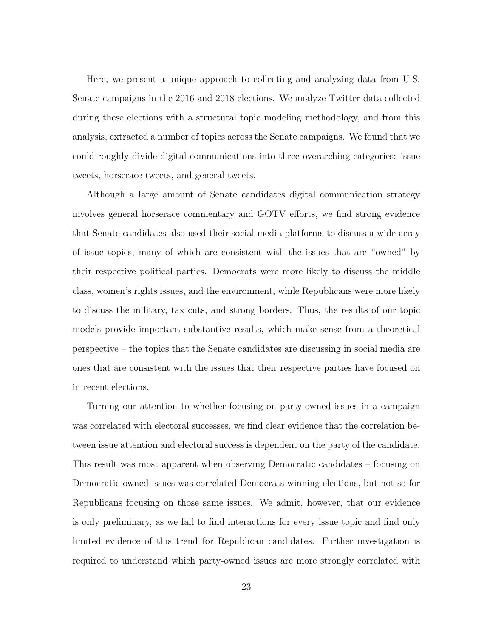Here, we present a unique approach to collecting and analyzing data from U.S. Senate campaigns in the 2016 and 2018 elections. We analyze Twitter data collected during these elections with a structural topic modeling methodology, and from this analysis, extracted a number of topics across the Senate campaigns. We found that we could roughly divide digital communications into three overarching categories: issue tweets, horserace tweets, and general tweets.

Although a large amount of Senate candidates digital communication strategy involves general horserace commentary and GOTV efforts, we find strong evidence that Senate candidates also used their social media platforms to discuss a wide array of issue topics, many of which are consistent with the issues that are "owned" by their respective political parties. Democrats were more likely to discuss the middle class, women's rights issues, and the environment, while Republicans were more likely to discuss the military, tax cuts, and strong borders. Thus, the results of our topic models provide important substantive results, which make sense from a theoretical perspective – the topics that the Senate candidates are discussing in social media are ones that are consistent with the issues that their respective parties have focused on in recent elections.

Turning our attention to whether focusing on party-owned issues in a campaign was correlated with electoral successes, we find clear evidence that the correlation between issue attention and electoral success is dependent on the party of the candidate. This result was most apparent when observing Democratic candidates – focusing on Democratic-owned issues was correlated Democrats winning elections, but not so for Republicans focusing on those same issues. We admit, however, that our evidence is only preliminary, as we fail to find interactions for every issue topic and find only limited evidence of this trend for Republican candidates. Further investigation is required to understand which party-owned issues are more strongly correlated with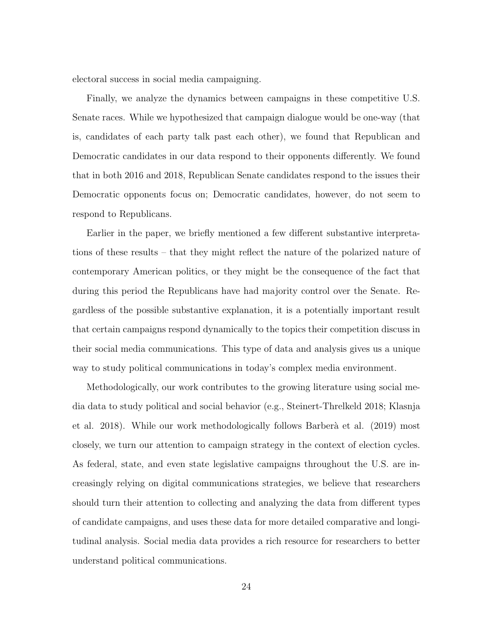electoral success in social media campaigning.

Finally, we analyze the dynamics between campaigns in these competitive U.S. Senate races. While we hypothesized that campaign dialogue would be one-way (that is, candidates of each party talk past each other), we found that Republican and Democratic candidates in our data respond to their opponents differently. We found that in both 2016 and 2018, Republican Senate candidates respond to the issues their Democratic opponents focus on; Democratic candidates, however, do not seem to respond to Republicans.

Earlier in the paper, we briefly mentioned a few different substantive interpretations of these results – that they might reflect the nature of the polarized nature of contemporary American politics, or they might be the consequence of the fact that during this period the Republicans have had majority control over the Senate. Regardless of the possible substantive explanation, it is a potentially important result that certain campaigns respond dynamically to the topics their competition discuss in their social media communications. This type of data and analysis gives us a unique way to study political communications in today's complex media environment.

Methodologically, our work contributes to the growing literature using social media data to study political and social behavior (e.g., Steinert-Threlkeld 2018; Klasnja et al. 2018). While our work methodologically follows Barber`a et al. (2019) most closely, we turn our attention to campaign strategy in the context of election cycles. As federal, state, and even state legislative campaigns throughout the U.S. are increasingly relying on digital communications strategies, we believe that researchers should turn their attention to collecting and analyzing the data from different types of candidate campaigns, and uses these data for more detailed comparative and longitudinal analysis. Social media data provides a rich resource for researchers to better understand political communications.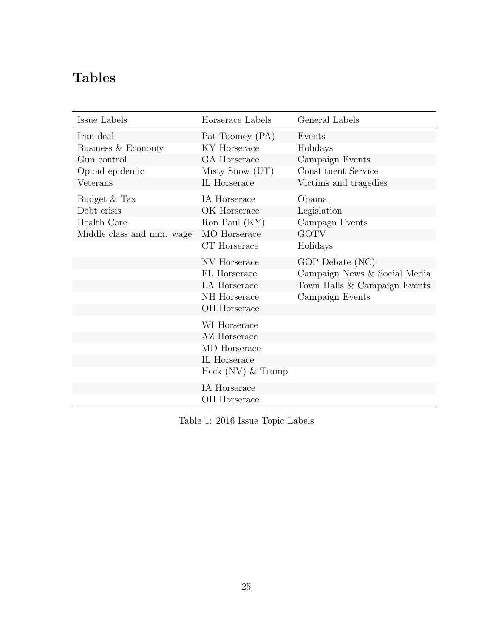# Tables

| Issue Labels               | Horserace Labels    | General Labels               |
|----------------------------|---------------------|------------------------------|
| Iran deal                  | Pat Toomey (PA)     | Events                       |
| Business & Economy         | KY Horserace        | Holidays                     |
| Gun control                | GA Horserace        | Campaign Events              |
| Opioid epidemic            | Misty Snow (UT)     | Constituent Service          |
| Veterans                   | IL Horserace        | Victims and tragedies        |
| Budget $\&$ Tax            | IA Horserace        | Obama                        |
| Debt crisis                | OK Horserace        | Legislation                  |
| Health Care                | Ron Paul (KY)       | Campagn Events               |
| Middle class and min. wage | MO Horserace        | <b>GOTV</b>                  |
|                            | CT Horserace        | Holidays                     |
|                            | NV Horserace        | GOP Debate (NC)              |
|                            | FL Horserace        | Campaign News & Social Media |
|                            | LA Horserace        | Town Halls & Campaign Events |
|                            | NH Horserace        | Campaign Events              |
|                            | OH Horserace        |                              |
|                            | WI Horserace        |                              |
|                            | AZ Horserace        |                              |
|                            | MD Horserace        |                              |
|                            | IL Horserace        |                              |
|                            | Heck $(NV)$ & Trump |                              |
|                            | IA Horserace        |                              |
|                            | OH Horserace        |                              |

Table 1: 2016 Issue Topic Labels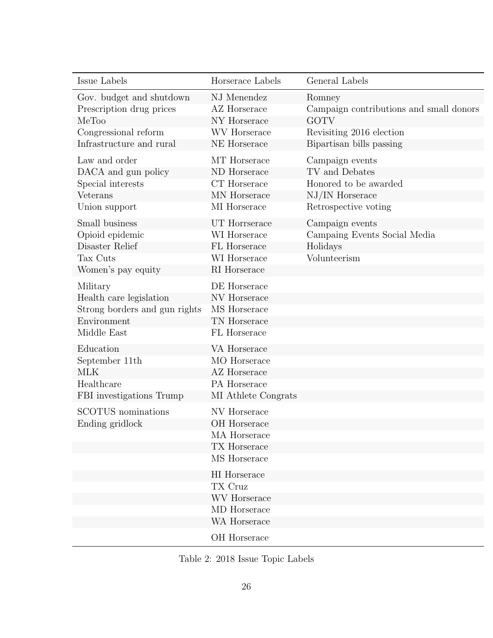| Issue Labels                                                                                       | Horserace Labels                                                                    | General Labels                                                                                                            |
|----------------------------------------------------------------------------------------------------|-------------------------------------------------------------------------------------|---------------------------------------------------------------------------------------------------------------------------|
| Gov. budget and shutdown<br>Prescription drug prices<br>MeToo                                      | NJ Menendez<br><b>AZ</b> Horserace<br>NY Horserace                                  | Romney<br>Campaign contributions and small donors<br><b>GOTV</b>                                                          |
| Congressional reform<br>Infrastructure and rural                                                   | <b>WV</b> Horserace<br>NE Horserace                                                 | Revisiting 2016 election<br>Bipartisan bills passing                                                                      |
| Law and order<br>DACA and gun policy<br>Special interests<br>Veterans<br>Union support             | MT Horserace<br>ND Horserace<br>CT Horserace<br>MN Horserace<br>MI Horserace        | Campaign events<br>TV and Debates<br>Honored to be awarded<br>$\mathrm{NJ}/\mathrm{IN}$ Horserace<br>Retrospective voting |
| Small business<br>Opioid epidemic<br>Disaster Relief<br>Tax Cuts<br>Women's pay equity             | UT Horrserace<br>WI Horserace<br>FL Horserace<br>WI Horserace<br>RI Horserace       | Campaign events<br>Campaing Events Social Media<br>Holidays<br>Volunteerism                                               |
| Military<br>Health care legislation<br>Strong borders and gun rights<br>Environment<br>Middle East | DE Horserace<br>NV Horserace<br>MS Horserace<br>TN Horserace<br>FL Horserace        |                                                                                                                           |
| Education<br>September 11th<br><b>MLK</b><br>Healthcare<br>FBI investigations Trump                | VA Horserace<br>MO Horserace<br>AZ Horserace<br>PA Horserace<br>MI Athlete Congrats |                                                                                                                           |
| <b>SCOTUS</b> nominations<br>Ending gridlock                                                       | NV Horserace<br>OH Horserace<br>MA Horserace<br>TX Horserace<br>MS Horserace        |                                                                                                                           |
|                                                                                                    | HI Horserace<br>TX Cruz<br><b>WV</b> Horserace<br>MD Horserace<br>WA Horserace      |                                                                                                                           |
|                                                                                                    | OH Horserace                                                                        |                                                                                                                           |

Table 2: 2018 Issue Topic Labels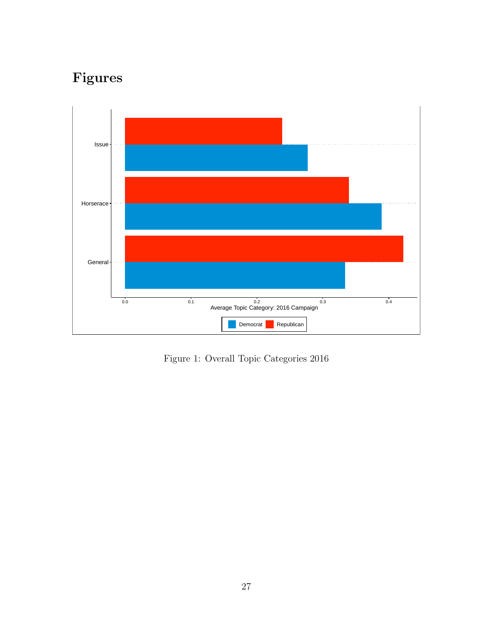# Figures



Figure 1: Overall Topic Categories 2016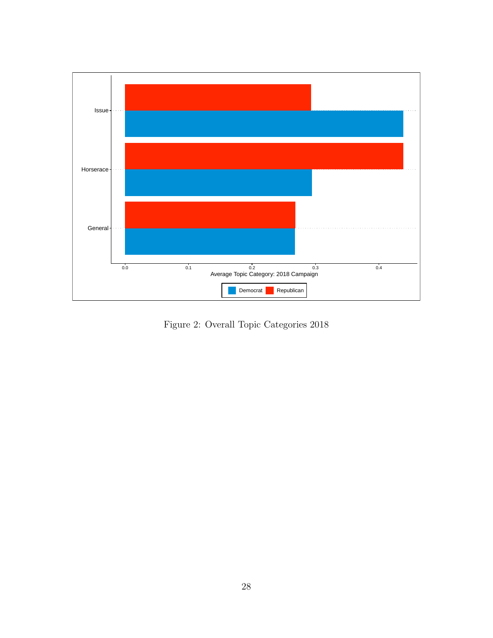

Figure 2: Overall Topic Categories 2018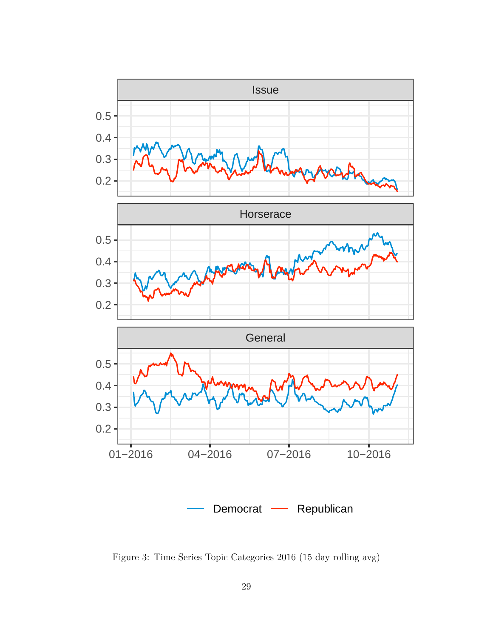

Figure 3: Time Series Topic Categories 2016 (15 day rolling avg)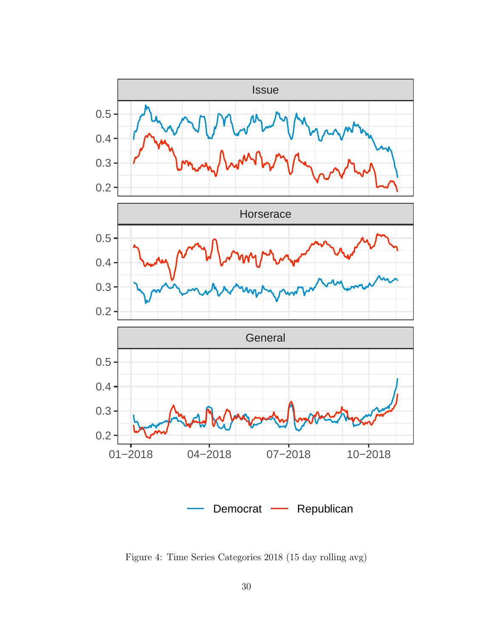

Figure 4: Time Series Categories 2018 (15 day rolling avg)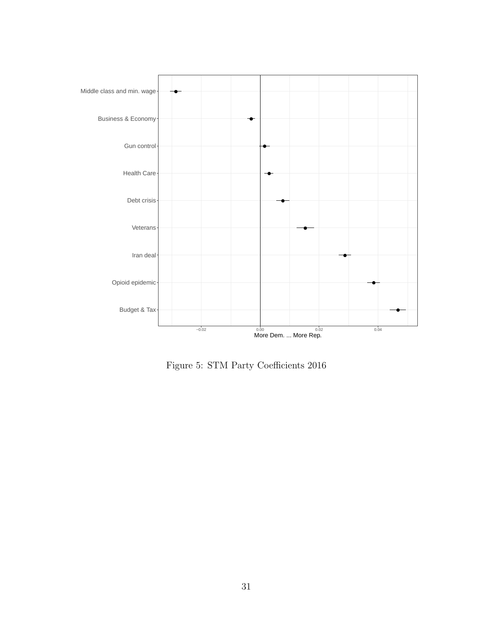

Figure 5: STM Party Coefficients 2016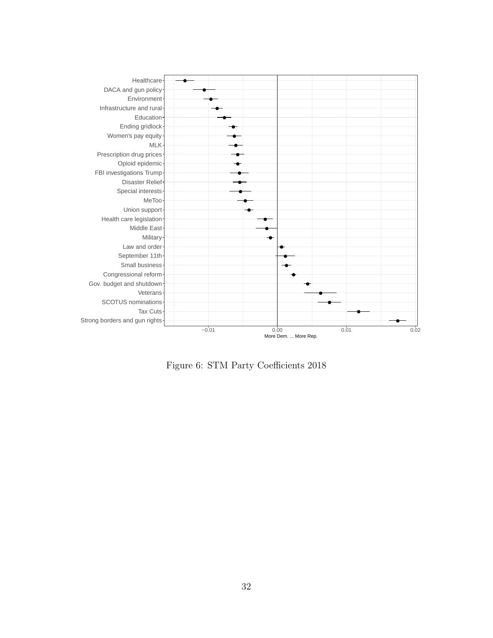

Figure 6: STM Party Coefficients 2018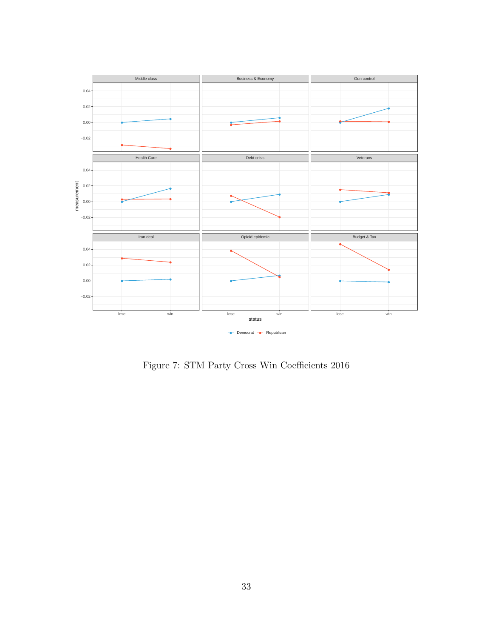

Figure 7: STM Party Cross Win Coefficients 2016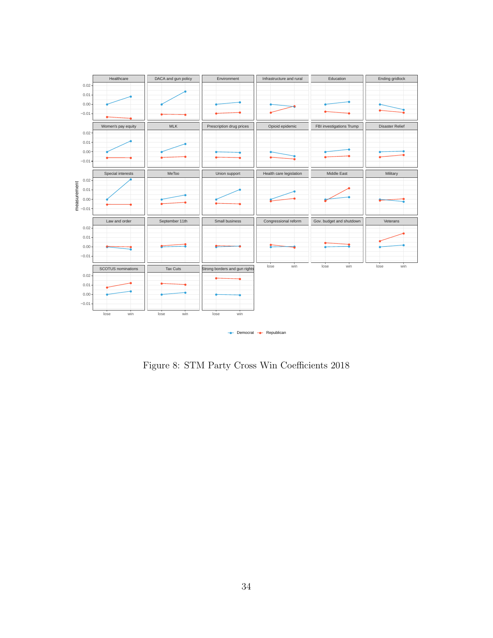

Figure 8: STM Party Cross Win Coefficients 2018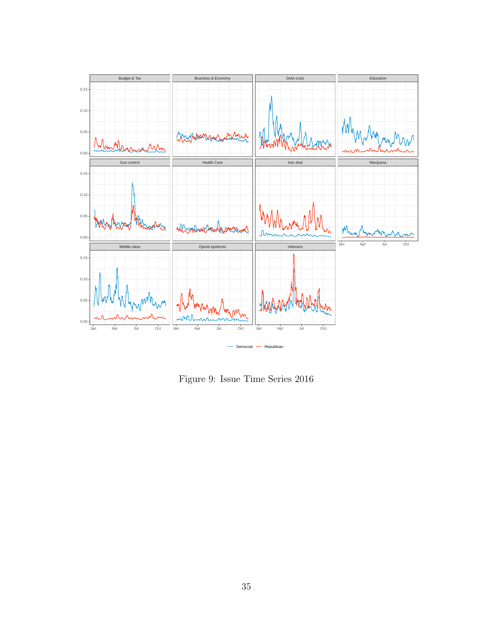

Figure 9: Issue Time Series 2016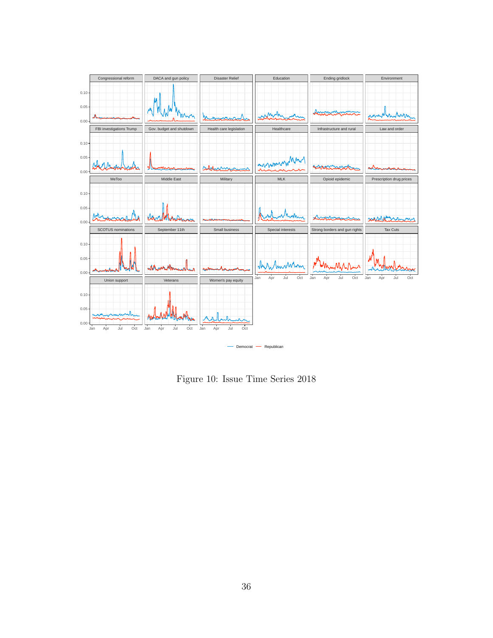

Figure 10: Issue Time Series 2018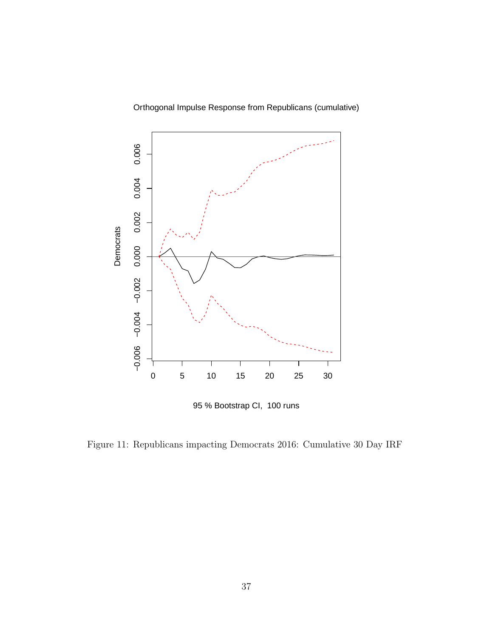Orthogonal Impulse Response from Republicans (cumulative)



95 % Bootstrap CI, 100 runs

Figure 11: Republicans impacting Democrats 2016: Cumulative 30 Day IRF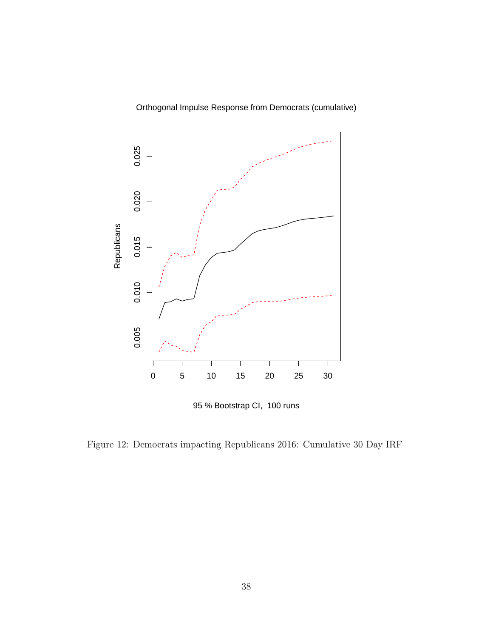Orthogonal Impulse Response from Democrats (cumulative)



95 % Bootstrap CI, 100 runs

Figure 12: Democrats impacting Republicans 2016: Cumulative 30 Day IRF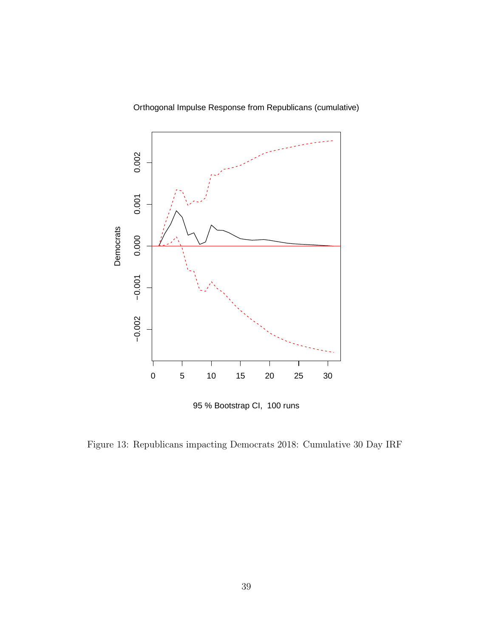



95 % Bootstrap CI, 100 runs

Figure 13: Republicans impacting Democrats 2018: Cumulative 30 Day IRF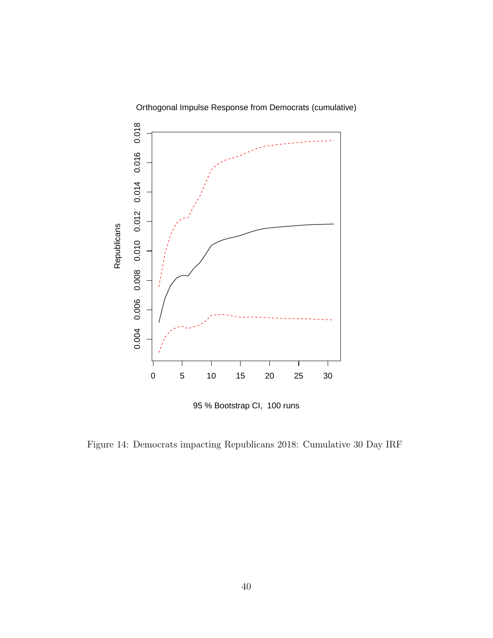

Orthogonal Impulse Response from Democrats (cumulative)

95 % Bootstrap CI, 100 runs

Figure 14: Democrats impacting Republicans 2018: Cumulative 30 Day IRF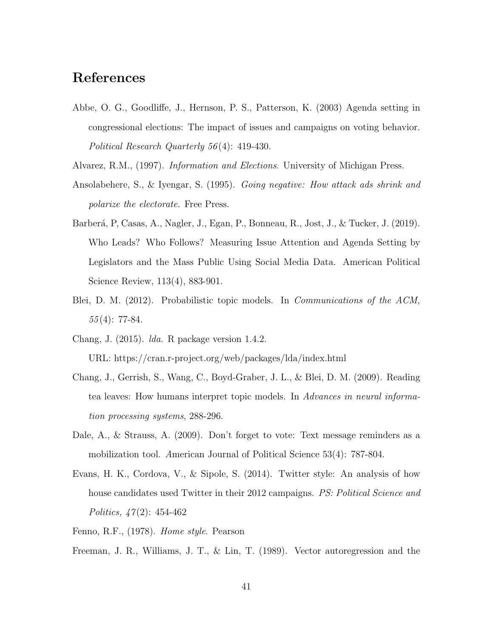## References

- Abbe, O. G., Goodliffe, J., Hernson, P. S., Patterson, K. (2003) Agenda setting in congressional elections: The impact of issues and campaigns on voting behavior. Political Research Quarterly 56 (4): 419-430.
- Alvarez, R.M., (1997). Information and Elections. University of Michigan Press.
- Ansolabehere, S., & Iyengar, S. (1995). Going negative: How attack ads shrink and polarize the electorate. Free Press.
- Barberá, P, Casas, A., Nagler, J., Egan, P., Bonneau, R., Jost, J., & Tucker, J. (2019). Who Leads? Who Follows? Measuring Issue Attention and Agenda Setting by Legislators and the Mass Public Using Social Media Data. American Political Science Review, 113(4), 883-901.
- Blei, D. M. (2012). Probabilistic topic models. In *Communications of the ACM*,  $55(4): 77-84.$
- Chang, J. (2015). lda. R package version 1.4.2. URL: https://cran.r-project.org/web/packages/lda/index.html
- Chang, J., Gerrish, S., Wang, C., Boyd-Graber, J. L., & Blei, D. M. (2009). Reading tea leaves: How humans interpret topic models. In Advances in neural information processing systems, 288-296.
- Dale, A., & Strauss, A. (2009). Don't forget to vote: Text message reminders as a mobilization tool. American Journal of Political Science 53(4): 787-804.
- Evans, H. K., Cordova, V., & Sipole, S. (2014). Twitter style: An analysis of how house candidates used Twitter in their 2012 campaigns. *PS: Political Science and* Politics,  $47(2)$ : 454-462
- Fenno, R.F., (1978). Home style. Pearson

Freeman, J. R., Williams, J. T., & Lin, T. (1989). Vector autoregression and the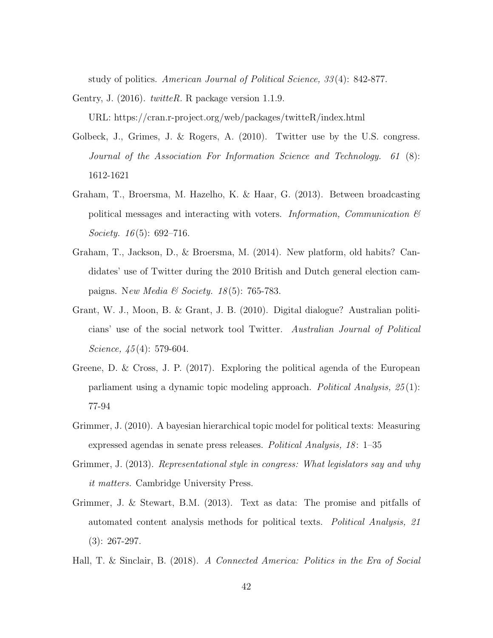study of politics. American Journal of Political Science, 33 (4): 842-877.

Gentry, J.  $(2016)$ . *twitteR*. R package version 1.1.9.

URL: https://cran.r-project.org/web/packages/twitteR/index.html

- Golbeck, J., Grimes, J. & Rogers, A. (2010). Twitter use by the U.S. congress. Journal of the Association For Information Science and Technology. 61 (8): 1612-1621
- Graham, T., Broersma, M. Hazelho, K. & Haar, G. (2013). Between broadcasting political messages and interacting with voters. Information, Communication  $\mathcal{B}$ *Society.* 16(5): 692–716.
- Graham, T., Jackson, D., & Broersma, M. (2014). New platform, old habits? Candidates' use of Twitter during the 2010 British and Dutch general election campaigns. New Media & Society. 18(5): 765-783.
- Grant, W. J., Moon, B. & Grant, J. B. (2010). Digital dialogue? Australian politicians' use of the social network tool Twitter. Australian Journal of Political Science,  $45(4)$ : 579-604.
- Greene, D. & Cross, J. P. (2017). Exploring the political agenda of the European parliament using a dynamic topic modeling approach. Political Analysis, 25 (1): 77-94
- Grimmer, J. (2010). A bayesian hierarchical topic model for political texts: Measuring expressed agendas in senate press releases. Political Analysis, 18: 1–35
- Grimmer, J. (2013). Representational style in congress: What legislators say and why it matters. Cambridge University Press.
- Grimmer, J. & Stewart, B.M. (2013). Text as data: The promise and pitfalls of automated content analysis methods for political texts. Political Analysis, 21 (3): 267-297.
- Hall, T. & Sinclair, B. (2018). A Connected America: Politics in the Era of Social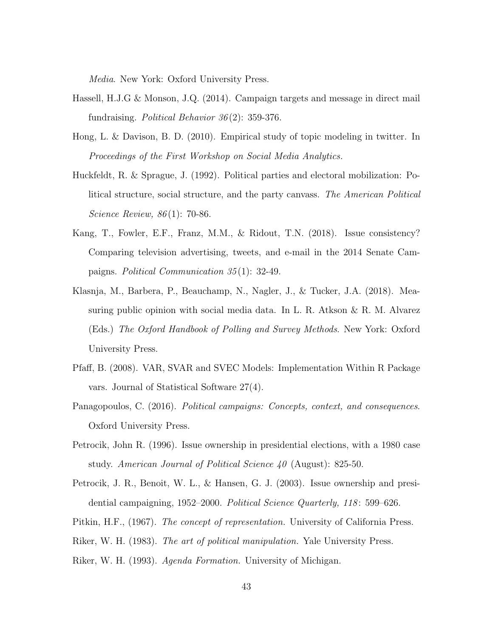Media. New York: Oxford University Press.

- Hassell, H.J.G & Monson, J.Q. (2014). Campaign targets and message in direct mail fundraising. *Political Behavior*  $36(2)$ : 359-376.
- Hong, L. & Davison, B. D. (2010). Empirical study of topic modeling in twitter. In Proceedings of the First Workshop on Social Media Analytics.
- Huckfeldt, R. & Sprague, J. (1992). Political parties and electoral mobilization: Political structure, social structure, and the party canvass. The American Political Science Review, 86 (1): 70-86.
- Kang, T., Fowler, E.F., Franz, M.M., & Ridout, T.N. (2018). Issue consistency? Comparing television advertising, tweets, and e-mail in the 2014 Senate Campaigns. Political Communication 35 (1): 32-49.
- Klasnja, M., Barbera, P., Beauchamp, N., Nagler, J., & Tucker, J.A. (2018). Measuring public opinion with social media data. In L. R. Atkson & R. M. Alvarez (Eds.) The Oxford Handbook of Polling and Survey Methods. New York: Oxford University Press.
- Pfaff, B. (2008). VAR, SVAR and SVEC Models: Implementation Within R Package vars. Journal of Statistical Software 27(4).
- Panagopoulos, C. (2016). Political campaigns: Concepts, context, and consequences. Oxford University Press.
- Petrocik, John R. (1996). Issue ownership in presidential elections, with a 1980 case study. American Journal of Political Science 40 (August): 825-50.
- Petrocik, J. R., Benoit, W. L., & Hansen, G. J. (2003). Issue ownership and presidential campaigning, 1952–2000. Political Science Quarterly, 118: 599–626.
- Pitkin, H.F., (1967). The concept of representation. University of California Press.
- Riker, W. H. (1983). The art of political manipulation. Yale University Press.
- Riker, W. H. (1993). Agenda Formation. University of Michigan.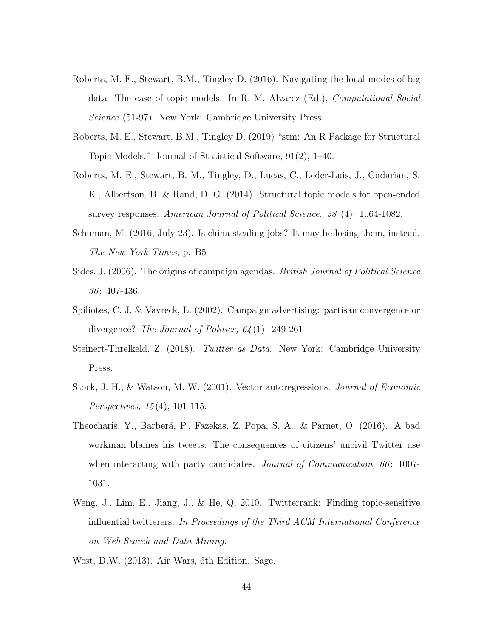- Roberts, M. E., Stewart, B.M., Tingley D. (2016). Navigating the local modes of big data: The case of topic models. In R. M. Alvarez (Ed.), Computational Social Science (51-97). New York: Cambridge University Press.
- Roberts, M. E., Stewart, B.M., Tingley D. (2019) "stm: An R Package for Structural Topic Models." Journal of Statistical Software, 91(2), 1–40.
- Roberts, M. E., Stewart, B. M., Tingley, D., Lucas, C., Leder-Luis, J., Gadarian, S. K., Albertson, B. & Rand, D. G. (2014). Structural topic models for open-ended survey responses. American Journal of Political Science. 58 (4): 1064-1082.
- Schuman, M. (2016, July 23). Is china stealing jobs? It may be losing them, instead. The New York Times, p. B5
- Sides, J. (2006). The origins of campaign agendas. *British Journal of Political Science*  $36:407-436.$
- Spiliotes, C. J. & Vavreck, L. (2002). Campaign advertising: partisan convergence or divergence? The Journal of Politics, 64 (1): 249-261
- Steinert-Threlkeld, Z. (2018). Twitter as Data. New York: Cambridge University Press.
- Stock, J. H., & Watson, M. W. (2001). Vector autoregressions. Journal of Economic *Perspectives*,  $15(4)$ , 101-115.
- Theocharis, Y., Barberá, P., Fazekas, Z. Popa, S. A., & Parnet, O. (2016). A bad workman blames his tweets: The consequences of citizens' uncivil Twitter use when interacting with party candidates. Journal of Communication, 66: 1007-1031.
- Weng, J., Lim, E., Jiang, J., & He, Q. 2010. Twitterrank: Finding topic-sensitive influential twitterers. In Proceedings of the Third ACM International Conference on Web Search and Data Mining.
- West, D.W. (2013). Air Wars, 6th Edition. Sage.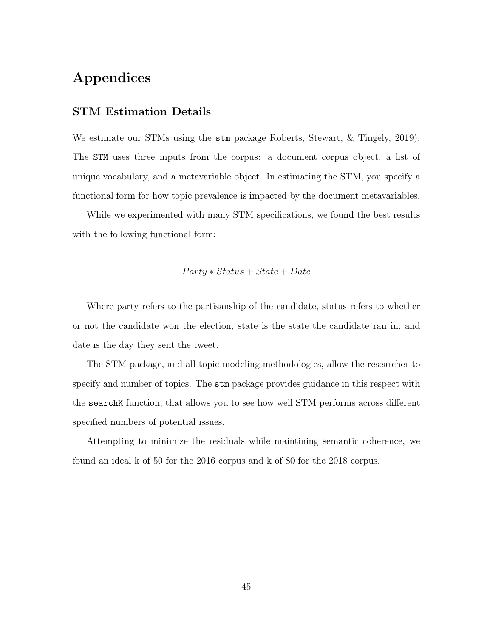## Appendices

## STM Estimation Details

We estimate our STMs using the stm package Roberts, Stewart, & Tingely, 2019). The STM uses three inputs from the corpus: a document corpus object, a list of unique vocabulary, and a metavariable object. In estimating the STM, you specify a functional form for how topic prevalence is impacted by the document metavariables.

While we experimented with many STM specifications, we found the best results with the following functional form:

#### $Party * Status + State + Date$

Where party refers to the partisanship of the candidate, status refers to whether or not the candidate won the election, state is the state the candidate ran in, and date is the day they sent the tweet.

The STM package, and all topic modeling methodologies, allow the researcher to specify and number of topics. The stm package provides guidance in this respect with the searchK function, that allows you to see how well STM performs across different specified numbers of potential issues.

Attempting to minimize the residuals while maintining semantic coherence, we found an ideal k of 50 for the 2016 corpus and k of 80 for the 2018 corpus.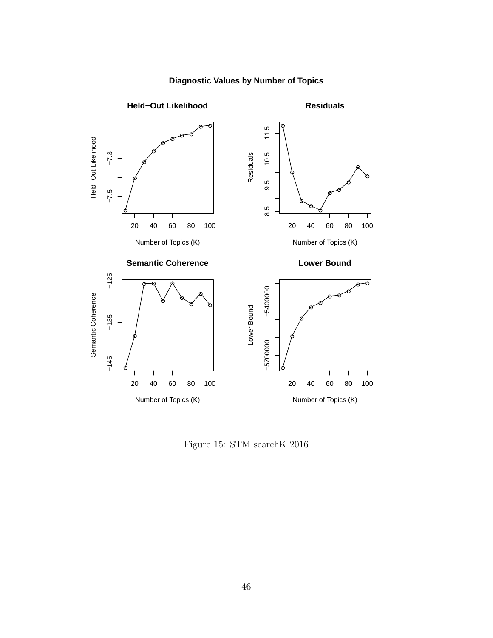

## **Diagnostic Values by Number of Topics**

Figure 15: STM searchK 2016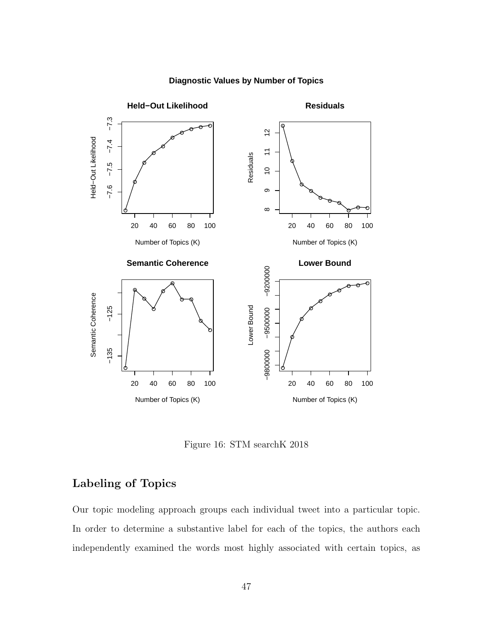

#### **Diagnostic Values by Number of Topics**

Figure 16: STM searchK 2018

## Labeling of Topics

Our topic modeling approach groups each individual tweet into a particular topic. In order to determine a substantive label for each of the topics, the authors each independently examined the words most highly associated with certain topics, as